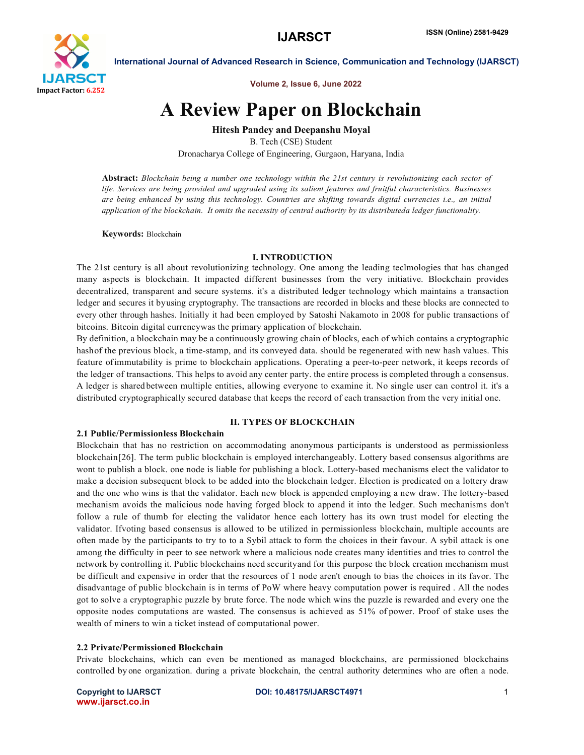

Volume 2, Issue 6, June 2022

# A Review Paper on Blockchain

Hitesh Pandey and Deepanshu Moyal

B. Tech (CSE) Student Dronacharya College of Engineering, Gurgaon, Haryana, India

Abstract: *Blockchain being a number one technology within the 21st century is revolutionizing each sector of life. Services are being provided and upgraded using its salient features and fruitful characteristics. Businesses are being enhanced by using this technology. Countries are shifting towards digital currencies i.e., an initial application of the blockchain. It omits the necessity of central authority by its distributeda ledger functionality.*

Keywords: Blockchain

#### I. INTRODUCTION

The 21st century is all about revolutionizing technology. One among the leading teclmologies that has changed many aspects is blockchain. It impacted different businesses from the very initiative. Blockchain provides decentralized, transparent and secure systems. it's a distributed ledger technology which maintains a transaction ledger and secures it byusing cryptography. The transactions are recorded in blocks and these blocks are connected to every other through hashes. Initially it had been employed by Satoshi Nakamoto in 2008 for public transactions of bitcoins. Bitcoin digital currencywas the primary application of blockchain.

By definition, a blockchain may be a continuously growing chain of blocks, each of which contains a cryptographic hashof the previous block, a time-stamp, and its conveyed data. should be regenerated with new hash values. This feature ofimmutability is prime to blockchain applications. Operating a peertopeer network, it keeps records of the ledger of transactions. This helps to avoid any center party. the entire process is completed through a consensus. A ledger is shared between multiple entities, allowing everyone to examine it. No single user can control it. it's a distributed cryptographically secured database that keeps the record of each transaction from the very initial one.

# II. TYPES OF BLOCKCHAIN

#### 2.1 Public/Permissionless Blockchain

Blockchain that has no restriction on accommodating anonymous participants is understood as permissionless blockchain[26]. The term public blockchain is employed interchangeably. Lottery based consensus algorithms are wont to publish a block. one node is liable for publishing a block. Lottery-based mechanisms elect the validator to make a decision subsequent block to be added into the blockchain ledger. Election is predicated on a lottery draw and the one who wins is that the validator. Each new block is appended employing a new draw. The lottery-based mechanism avoids the malicious node having forged block to append it into the ledger. Such mechanisms don't follow a rule of thumb for electing the validator hence each lottery has its own trust model for electing the validator. Ifvoting based consensus is allowed to be utilized in permissionless blockchain, multiple accounts are often made by the participants to try to to a Sybil attack to form the choices in their favour. A sybil attack is one among the difficulty in peer to see network where a malicious node creates many identities and tries to control the network by controlling it. Public blockchains need securityand for this purpose the block creation mechanism must be difficult and expensive in order that the resources of 1 node aren't enough to bias the choices in its favor. The disadvantage of public blockchain is in terms of PoW where heavy computation power is required . All the nodes got to solve a cryptographic puzzle by brute force. The node which wins the puzzle is rewarded and every one the opposite nodes computations are wasted. The consensus is achieved as 51% of power. Proof of stake uses the wealth of miners to win a ticket instead of computational power.

### 2.2 Private/Permissioned Blockchain

Private blockchains, which can even be mentioned as managed blockchains, are permissioned blockchains controlled by one organization. during a private blockchain, the central authority determines who are often a node.

www.ijarsct.co.in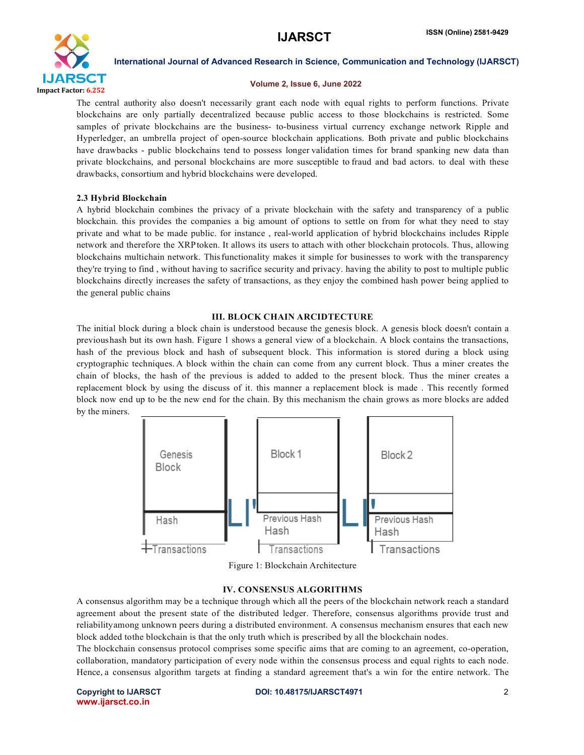

### Volume 2, Issue 6, June 2022

The central authority also doesn't necessarily grant each node with equal rights to perform functions. Private blockchains are only partially decentralized because public access to those blockchains is restricted. Some samples of private blockchains are the business- to-business virtual currency exchange network Ripple and Hyperledger, an umbrella project of opensource blockchain applications. Both private and public blockchains have drawbacks - public blockchains tend to possess longer validation times for brand spanking new data than private blockchains, and personal blockchains are more susceptible to fraud and bad actors. to deal with these drawbacks, consortium and hybrid blockchains were developed.

### 2.3 Hybrid Blockchain

A hybrid blockchain combines the privacy of a private blockchain with the safety and transparency of a public blockchain. this provides the companies a big amount of options to settle on from for what they need to stay private and what to be made public. for instance , realworld application of hybrid blockchains includes Ripple network and therefore the XRPtoken. It allows its users to attach with other blockchain protocols. Thus, allowing blockchains multichain network. Thisfunctionality makes it simple for businesses to work with the transparency they're trying to find , without having to sacrifice security and privacy. having the ability to post to multiple public blockchains directly increases the safety of transactions, as they enjoy the combined hash power being applied to the general public chains

### III. BLOCK CHAIN ARCIDTECTURE

The initial block during a block chain is understood because the genesis block. A genesis block doesn't contain a previoushash but its own hash. Figure 1 shows a general view of a blockchain. A block contains the transactions, hash of the previous block and hash of subsequent block. This information is stored during a block using cryptographic techniques. A block within the chain can come from any current block. Thus a miner creates the chain of blocks, the hash of the previous is added to added to the present block. Thus the miner creates a replacement block by using the discuss of it. this manner a replacement block is made . This recently formed block now end up to be the new end for the chain. By this mechanism the chain grows as more blocks are added by the miners.



Figure 1: Blockchain Architecture

### IV. CONSENSUS ALGORITHMS

A consensus algorithm may be a technique through which all the peers of the blockchain network reach a standard agreement about the present state of the distributed ledger. Therefore, consensus algorithms provide trust and reliabilityamong unknown peers during a distributed environment. A consensus mechanism ensures that each new block added tothe blockchain is that the only truth which is prescribed by all the blockchain nodes.

The blockchain consensus protocol comprises some specific aims that are coming to an agreement, co-operation, collaboration, mandatory participation of every node within the consensus process and equal rights to each node. Hence, a consensus algorithm targets at finding a standard agreement that's a win for the entire network. The

www.ijarsct.co.in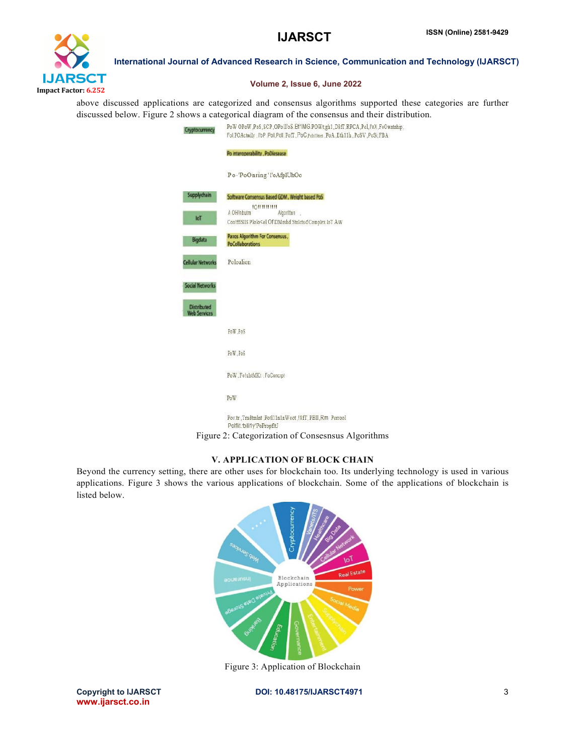

# Volume 2, Issue 6, June 2022

above discussed applications are categorized and consensus algorithms supported these categories are further discussed below. Figure 2 shows a categorical diagram of the consensus and their distribution.

| Cryptocurrency                            | PoW OPoW.PoS.SCP.OPoll'oS.Bf1MG.POWt;gh1.D8fT.RPCA.Pol.l'0X.FoOwntnhip.<br>Fol, POActwily, I'oP, Poll, Poll, PofT, PoC, Pobillinet, PoA, Eth11h, PoSV, PoSi; FBA |
|-------------------------------------------|------------------------------------------------------------------------------------------------------------------------------------------------------------------|
|                                           | Po interoperability, PoDiesease                                                                                                                                  |
|                                           | Po-'PoOnring'l'oAfplUhOo                                                                                                                                         |
| Supplychain                               | Software Consensus Based GDM, Weight based PoS.<br><b>толпини</b>                                                                                                |
| IoT                                       | A OH!nbutm<br>Algorittwn .<br>Con!ffISIIS Plolo <ol aw<="" d'complex="" dmrshd="" iot="" of="" stnlcts="" td=""></ol>                                            |
| Bigdata                                   | Paxos Algorithm For Consensus,<br>PoCollaborations                                                                                                               |
| <b>Cellular Networks</b>                  | Poloalion                                                                                                                                                        |
| <b>Social Networks</b>                    |                                                                                                                                                                  |
| <b>Distributed</b><br><b>Web Services</b> |                                                                                                                                                                  |
|                                           | PoW PoS                                                                                                                                                          |
|                                           | PoW.PoS                                                                                                                                                          |
|                                           | PoW, FolxIstMKt, FoConcrpt                                                                                                                                       |
|                                           | PoW                                                                                                                                                              |
|                                           | Pov.tr , Trndtmlnt , Potl11n1nWoot , 18fT, PBII, Rm Porrool<br>Polflit. bili1y'PoPropfltJ                                                                        |
|                                           | Figure 2: Categorization of Consesnsus Algorithms                                                                                                                |

#### V. APPLICATION OF BLOCK CHAIN

Beyond the currency setting, there are other uses for blockchain too. Its underlying technology is used in various applications. Figure 3 shows the various applications of blockchain. Some of the applications of blockchain is listed below.



Figure 3: Application of Blockchain

www.ijarsct.co.in

Copyright to IJARSCTDOI: 10.48175/IJARSCT4971 **3**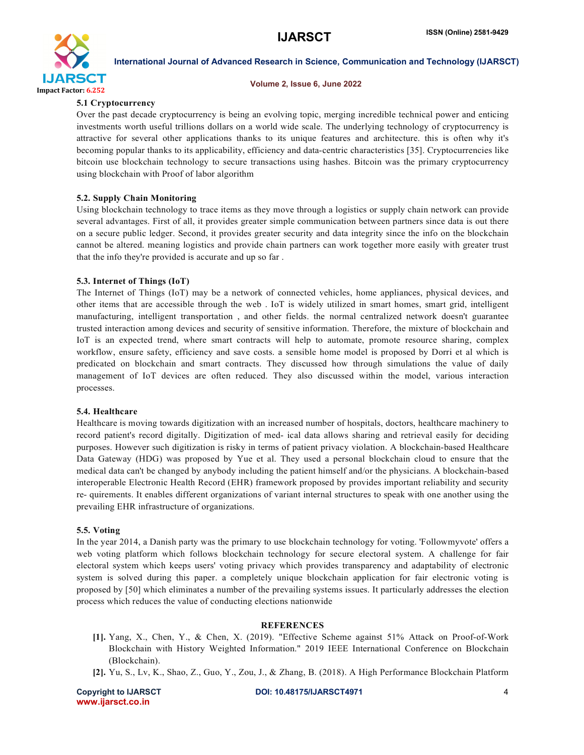

#### Volume 2, Issue 6, June 2022

### 5.1 Cryptocurrency

Over the past decade cryptocurrency is being an evolving topic, merging incredible technical power and enticing investments worth useful trillions dollars on a world wide scale. The underlying technology of cryptocurrency is attractive for several other applications thanks to its unique features and architecture. this is often why it's becoming popular thanks to its applicability, efficiency and datacentric characteristics [35]. Cryptocurrencies like bitcoin use blockchain technology to secure transactions using hashes. Bitcoin was the primary cryptocurrency using blockchain with Proof of labor algorithm

# 5.2. Supply Chain Monitoring

Using blockchain technology to trace items as they move through a logistics or supply chain network can provide several advantages. First of all, it provides greater simple communication between partners since data is out there on a secure public ledger. Second, it provides greater security and data integrity since the info on the blockchain cannot be altered. meaning logistics and provide chain partners can work together more easily with greater trust that the info they're provided is accurate and up so far .

# 5.3. Internet of Things (IoT)

The Internet of Things (IoT) may be a network of connected vehicles, home appliances, physical devices, and other items that are accessible through the web . IoT is widely utilized in smart homes, smart grid, intelligent manufacturing, intelligent transportation , and other fields. the normal centralized network doesn't guarantee trusted interaction among devices and security of sensitive information. Therefore, the mixture of blockchain and IoT is an expected trend, where smart contracts will help to automate, promote resource sharing, complex workflow, ensure safety, efficiency and save costs. a sensible home model is proposed by Dorri et al which is predicated on blockchain and smart contracts. They discussed how through simulations the value of daily management of IoT devices are often reduced. They also discussed within the model, various interaction processes.

### 5.4. Healthcare

Healthcare is moving towards digitization with an increased number of hospitals, doctors, healthcare machinery to record patient's record digitally. Digitization of med- ical data allows sharing and retrieval easily for deciding purposes. However such digitization is risky in terms of patient privacy violation. A blockchain-based Healthcare Data Gateway (HDG) was proposed by Yue et al. They used a personal blockchain cloud to ensure that the medical data can't be changed by anybody including the patient himself and/or the physicians. A blockchain-based interoperable Electronic Health Record (EHR) framework proposed by provides important reliability and security re- quirements. It enables different organizations of variant internal structures to speak with one another using the prevailing EHR infrastructure of organizations.

### 5.5. Voting

In the year 2014, a Danish party was the primary to use blockchain technology for voting. 'Followmyvote' offers a web voting platform which follows blockchain technology for secure electoral system. A challenge for fair electoral system which keeps users' voting privacy which provides transparency and adaptability of electronic system is solved during this paper. a completely unique blockchain application for fair electronic voting is proposed by [50] which eliminates a number of the prevailing systems issues. It particularly addresses the election process which reduces the value of conducting elections nationwide

### **REFERENCES**

- [1]. Yang, X., Chen, Y., & Chen, X. (2019). "Effective Scheme against 51% Attack on ProofofWork Blockchain with History Weighted Information." 2019 IEEE International Conference on Blockchain (Blockchain).
- [2]. Yu, S., Lv, K., Shao, Z., Guo, Y., Zou, J., & Zhang, B. (2018). A High Performance Blockchain Platform

www.ijarsct.co.in